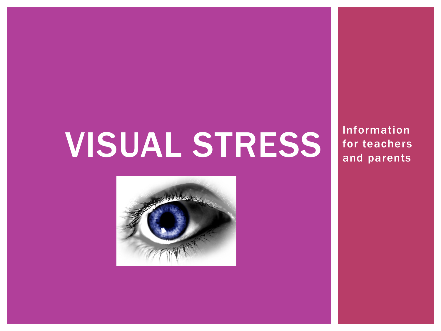# VISUAL STRESS for teachers



Information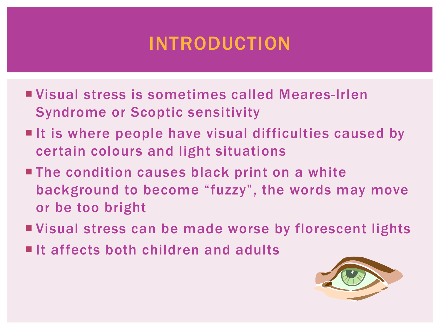#### INTRODUCTION

- Visual stress is sometimes called Meares-Irlen Syndrome or Scoptic sensitivity
- $\blacksquare$  It is where people have visual difficulties caused by certain colours and light situations
- **The condition causes black print on a white** background to become "fuzzy", the words may move or be too bright
- Visual stress can be made worse by florescent lights
- $\blacksquare$ It affects both children and adults

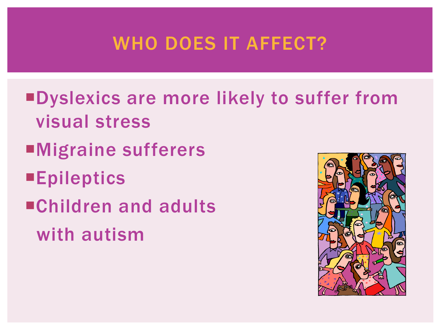#### WHO DOES IT AFFECT?

- Dyslexics are more likely to suffer from visual stress
- Migraine sufferers
- **Epileptics**
- Children and adults with autism

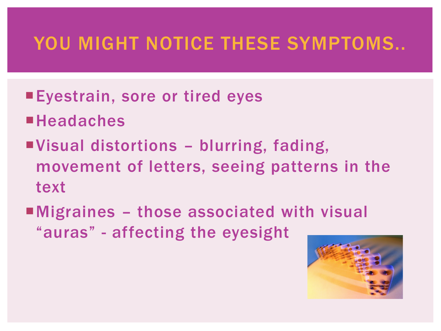#### YOU MIGHT NOTICE THESE SYMPTOMS...

- ■Eyestrain, sore or tired eyes
- **Headaches**
- Visual distortions blurring, fading, movement of letters, seeing patterns in the text
- ■Migraines those associated with visual "auras" - affecting the eyesight

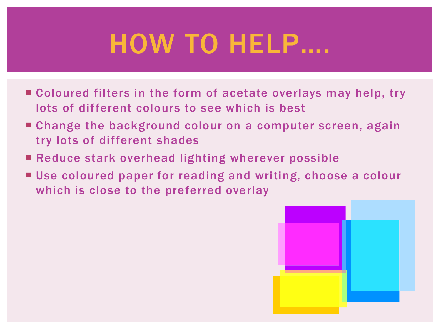## HOW TO HELP….

- Coloured filters in the form of acetate overlays may help, try lots of different colours to see which is best
- Change the background colour on a computer screen, again try lots of different shades
- Reduce stark overhead lighting wherever possible
- Use coloured paper for reading and writing, choose a colour which is close to the preferred overlay